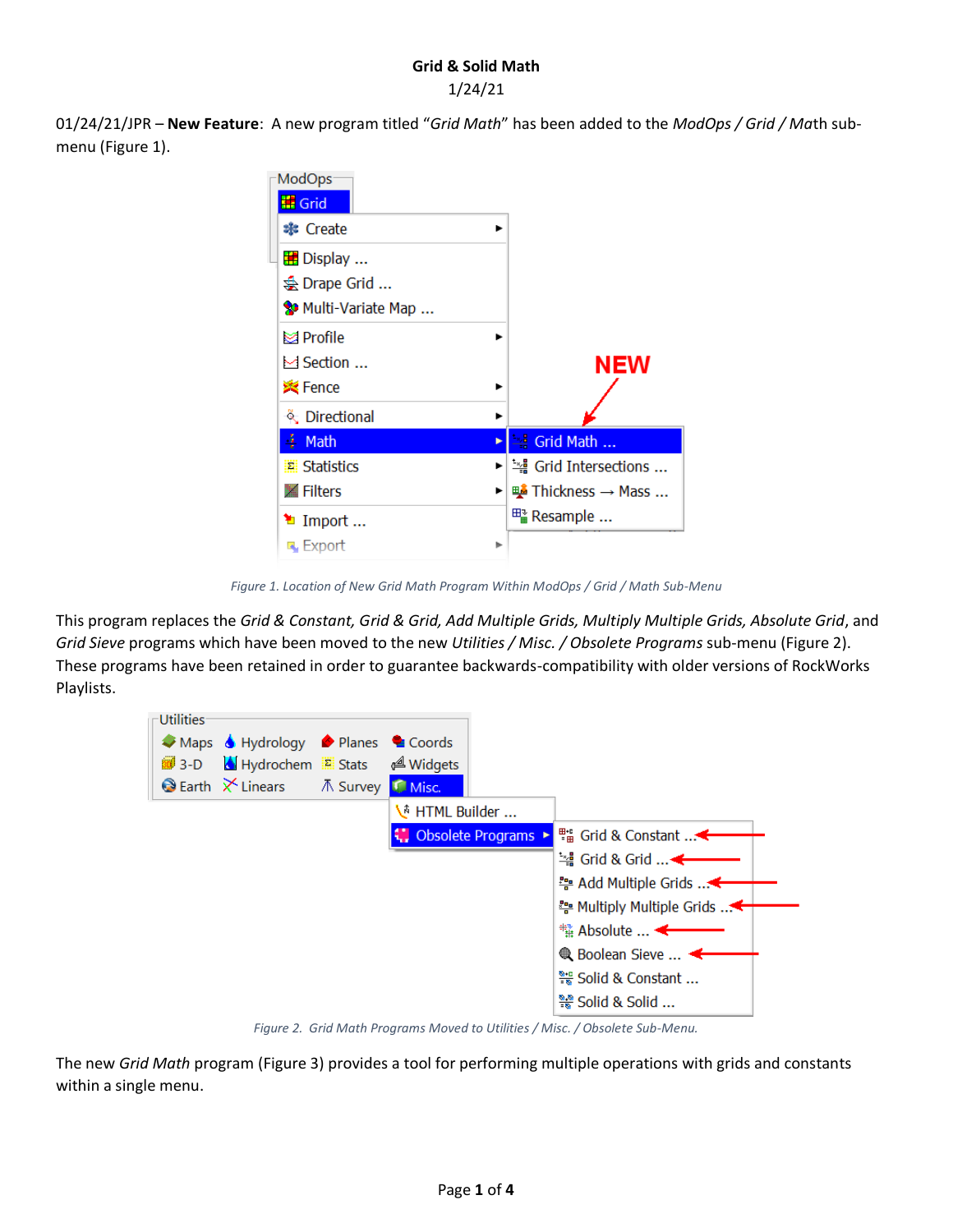## **Grid & Solid Math** 1/24/21

01/24/21/JPR – **New Feature**: A new program titled "*Grid Math*" has been added to the *ModOps / Grid / Ma*th submenu [\(Figure 1\)](#page-0-0).

| ModOps<br><b>II</b> Grid                              |                        |
|-------------------------------------------------------|------------------------|
| <b>*</b> Create                                       |                        |
| <b>E</b> Display<br>S Drape Grid<br>Multi-Variate Map |                        |
| ka Profile<br>$\bowtie$ Section<br><b>※</b> Fence     | NEW                    |
| & Directional                                         |                        |
| <b>4</b> Math                                         | Srid Math<br>Þ         |
| <b>E</b> Statistics                                   | ▶│— Grid Intersections |
| ■ Filters                                             | ▶   鴨 Thickness → Mass |
| <sup>1</sup> Import<br>LL Export                      | ь                      |

*Figure 1. Location of New Grid Math Program Within ModOps / Grid / Math Sub-Menu*

<span id="page-0-0"></span>This program replaces the *Grid & Constant, Grid & Grid, Add Multiple Grids, Multiply Multiple Grids, Absolute Grid*, and *Grid Sieve* programs which have been moved to the new *Utilities / Misc. / Obsolete Programs* sub-menu [\(Figure 2\)](#page-0-1). These programs have been retained in order to guarantee backwards-compatibility with older versions of RockWorks Playlists.



*Figure 2. Grid Math Programs Moved to Utilities / Misc. / Obsolete Sub-Menu.*

<span id="page-0-1"></span>The new *Grid Math* program [\(Figure 3\)](#page-1-0) provides a tool for performing multiple operations with grids and constants within a single menu.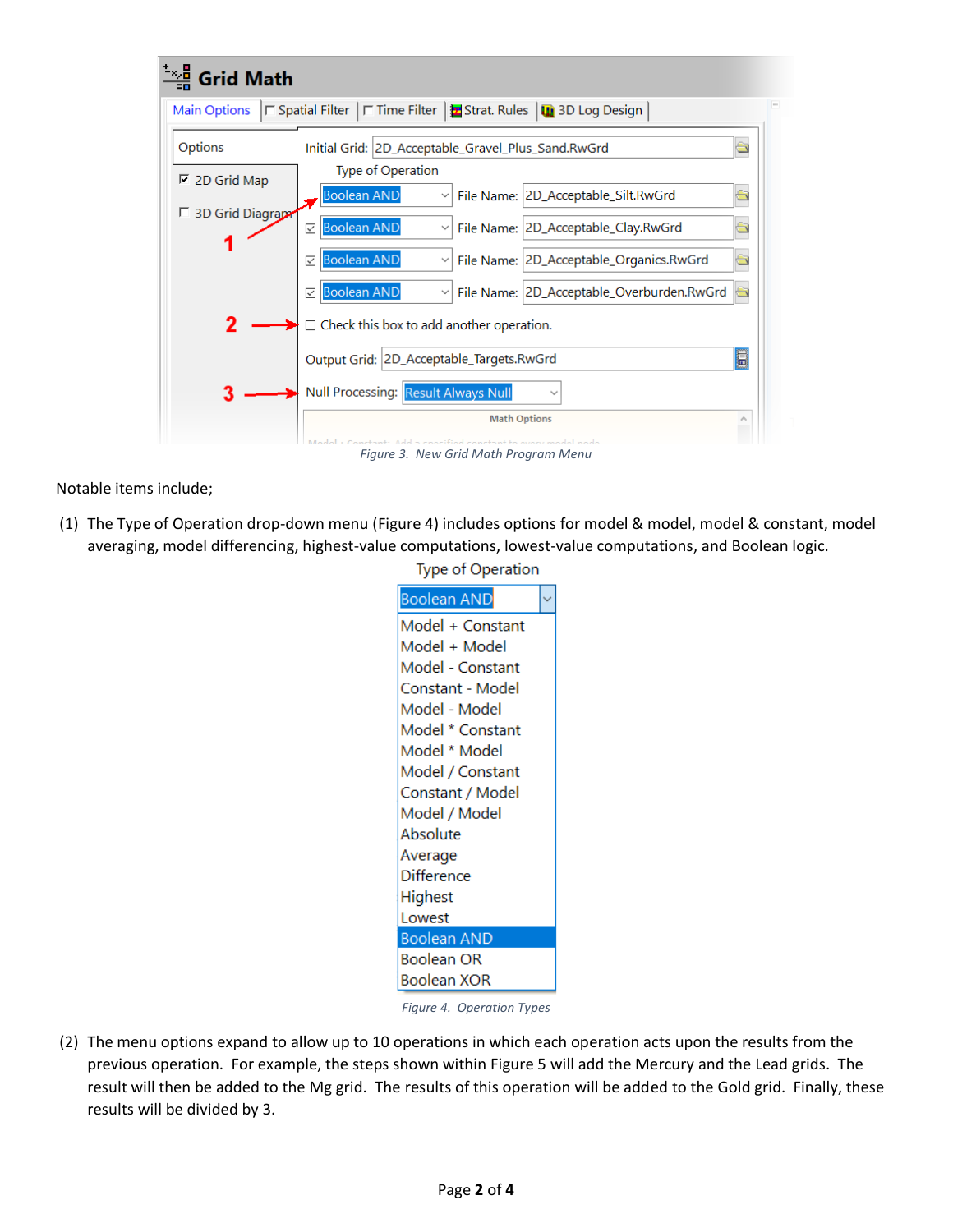| <b>Grid Math</b>        |                                                                                                       |  |
|-------------------------|-------------------------------------------------------------------------------------------------------|--|
| <b>Main Options</b>     | $\Box$ Spatial Filter $\Box$ Time Filter $\Box$ Strat. Rules $\Box$ 3D Log Design                     |  |
| Options                 | $\frac{1}{\sqrt{2}}$<br>Initial Grid: 2D_Acceptable_Gravel_Plus_Sand.RwGrd                            |  |
| $\nabla$ 2D Grid Map    | Type of Operation                                                                                     |  |
|                         | <b>Boolean AND</b><br>File Name: 2D_Acceptable_Silt.RwGrd<br>$\equiv$                                 |  |
| $\Box$ 3D Grid Diagrapa | <b>Boolean AND</b><br>File Name: 2D_Acceptable_Clay.RwGrd<br>$\cong$<br>✓<br>$\checkmark$             |  |
|                         | <b>Boolean AND</b><br>File Name: 2D_Acceptable_Organics.RwGrd<br>à<br>☑<br>$\checkmark$               |  |
|                         | <b>Boolean AND</b><br>File Name: 2D_Acceptable_Overburden.RwGrd<br>$\Rightarrow$<br>☑<br>$\checkmark$ |  |
| 2                       | Check this box to add another operation.                                                              |  |
|                         | Output Grid: 2D_Acceptable_Targets.RwGrd<br>B                                                         |  |
| 3                       | Null Processing: Result Always Null                                                                   |  |
|                         | <b>Math Options</b>                                                                                   |  |
|                         | Add - conciliad can                                                                                   |  |

*Figure 3. New Grid Math Program Menu*

<span id="page-1-0"></span>Notable items include;

(1) The Type of Operation drop-down menu [\(Figure 4\)](#page-1-1) includes options for model & model, model & constant, model averaging, model differencing, highest-value computations, lowest-value computations, and Boolean logic.

**Type of Operation** 

| <b>Boolean AND</b> |  |
|--------------------|--|
| Model + Constant   |  |
| Model + Model      |  |
| Model - Constant   |  |
| Constant - Model   |  |
| Model - Model      |  |
| Model * Constant   |  |
| Model * Model      |  |
| Model / Constant   |  |
| Constant / Model   |  |
| Model / Model      |  |
| Absolute           |  |
| Average            |  |
| Difference         |  |
| Highest            |  |
| Lowest             |  |
| <b>Boolean AND</b> |  |
| Boolean OR         |  |
| Boolean XOR        |  |

*Figure 4. Operation Types*

<span id="page-1-1"></span>(2) The menu options expand to allow up to 10 operations in which each operation acts upon the results from the previous operation. For example, the steps shown within [Figure 5](#page-2-0) will add the Mercury and the Lead grids. The result will then be added to the Mg grid. The results of this operation will be added to the Gold grid. Finally, these results will be divided by 3.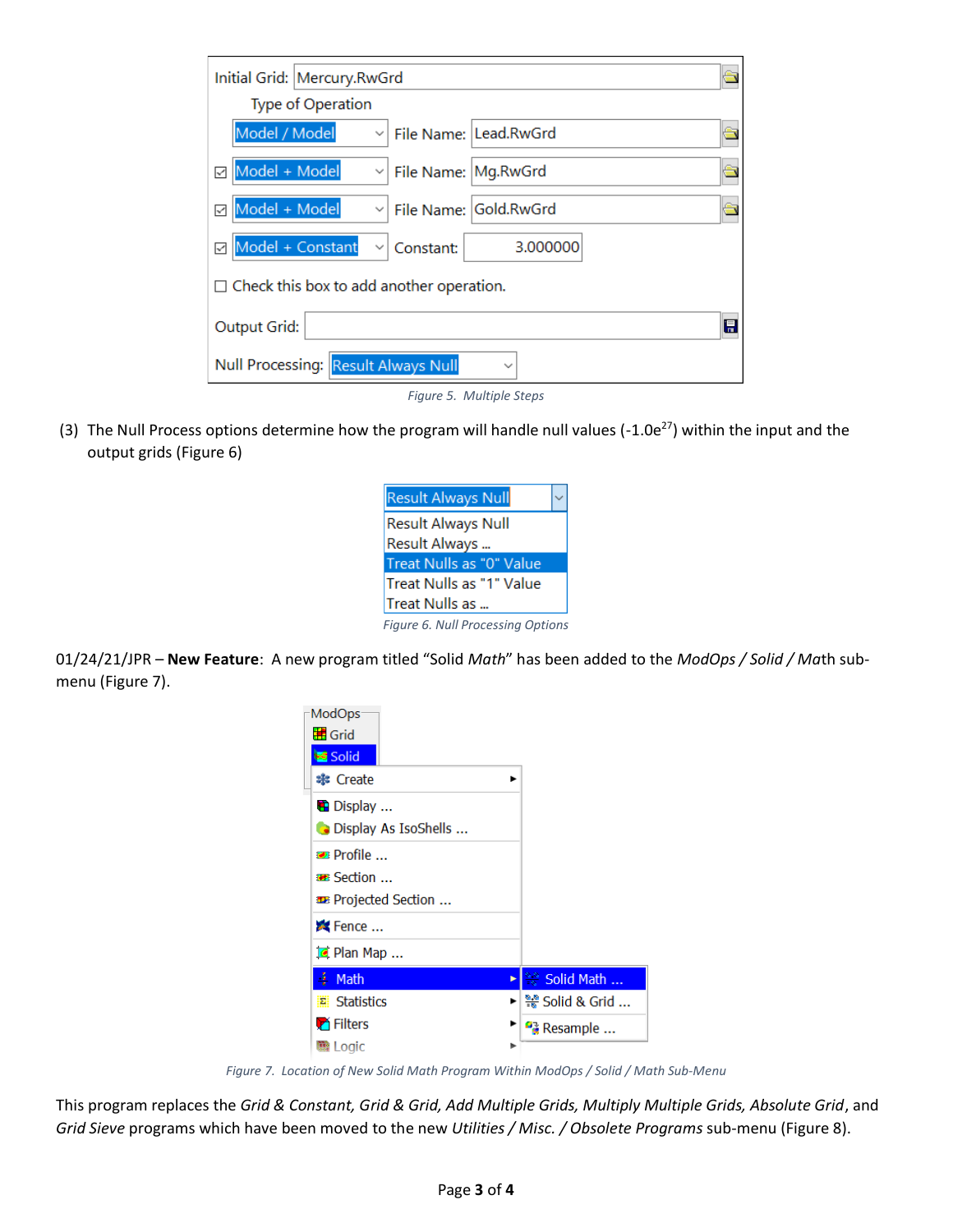| Initial Grid:   Mercury.RwGrd                                  |
|----------------------------------------------------------------|
| <b>Type of Operation</b>                                       |
| Model / Model<br>File Name: Lead.RwGrd                         |
| Model + Model<br>v File Name: Mg.RwGrd<br>✓                    |
| Model + Model<br>v File Name: Gold.RwGrd<br>✓                  |
| Model + Constant<br>3.000000<br>Constant:<br>✓<br>$\checkmark$ |
| $\Box$ Check this box to add another operation.                |
| 日<br>Output Grid:                                              |
| Null Processing: Result Always Null<br>$\check{ }$             |
| Figure 5. Multiple Steps                                       |

<span id="page-2-0"></span>(3) The Null Process options determine how the program will handle null values (-1.0e<sup>27</sup>) within the input and the output grids [\(Figure 6\)](#page-2-1)



<span id="page-2-1"></span>01/24/21/JPR – **New Feature**: A new program titled "Solid *Math*" has been added to the *ModOps / Solid / Ma*th submenu [\(Figure 7\)](#page-2-2).



*Figure 7. Location of New Solid Math Program Within ModOps / Solid / Math Sub-Menu*

<span id="page-2-2"></span>This program replaces the *Grid & Constant, Grid & Grid, Add Multiple Grids, Multiply Multiple Grids, Absolute Grid*, and *Grid Sieve* programs which have been moved to the new *Utilities / Misc. / Obsolete Programs* sub-menu [\(Figure 8\)](#page-3-0).